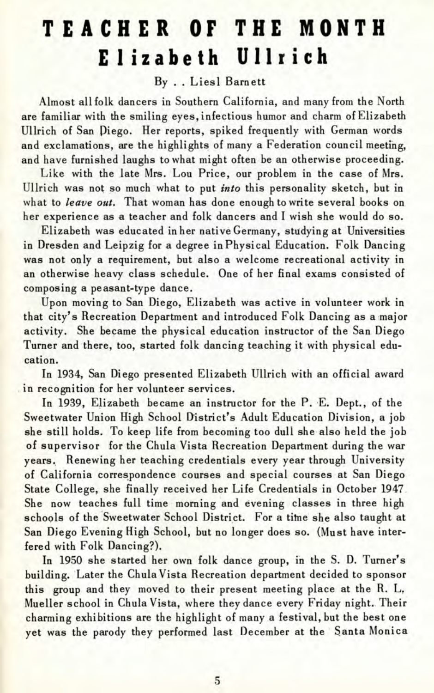## **TEACHE R OF TH E MONT H Elizabet h Ullric h**

## By . . Liesl Barnett

Almost all folk dancers in Southern California, and many from the North are familiar with the smiling eyes, infectious humor and charm of Elizabeth Ullrich of San Piego. Her reports, spiked frequently with German words and exclamations, are the highlights of many a Federation council meeting, and have furnished laughs to what might often be an otherwise proceeding.

Like with the late Mrs. Lou Price, our problem in the case of Mrs. Ullrich was not so much what to put *into* this personality sketch, but in what to *leave out.* That woman has done enough to write several books on her experience as a teacher and folk dancers and I wish she would do so.

Elizabeth was educated in her native Germany, studying at Universities in Dresden and Leipzig for a degree in Physical Education. Folk Dancing was not only a requirement, but also a welcome recreational activity in an otherwise heavy class schedule. One of her final exams consisted of composing a peasant-type dance.

Upon moving to San Diego, Elizabeth was active in volunteer work in that city's Recreation Department and introduced Folk Dancing as a major activity. She became the physical education instructor of the San Diego Turner and there, too, started folk dancing teaching it with physical education.

In 1934, San Diego presented Elizabeth Ullrich with an official award in recognition for her volunteer services.

In 1939, Elizabeth became an instructor for the P. E. Dept., of the Sweetwater Union High School District's Adult Education Division, a job she still holds. To keep life from becoming too dull she also held the job of supervisor for the Chula Vista Recreation Department during the war years. Renewing her teaching credentials every year through University of California correspondence courses and special courses at San Diego State College, she finally received her Life Credentials in October 1947 She now teaches full time morning and evening classes in three high schools of the Sweetwater School District. For a time she also taught at San Diego Evening High School, but no longer does so. (Must have interfered with Folk Dancing?).

In 1950 she started her own folk dance group, in the S. D. Turner's building. Later the Chula Vista Recreation department decided to sponsor this group and they moved to their present meeting place at the R. L, Mueller school in Chula Vista, where they dance every Friday night. Their charming exhibitions are the highlight of many a festival, but the best one yet was the parody they performed last December at the Santa Monica